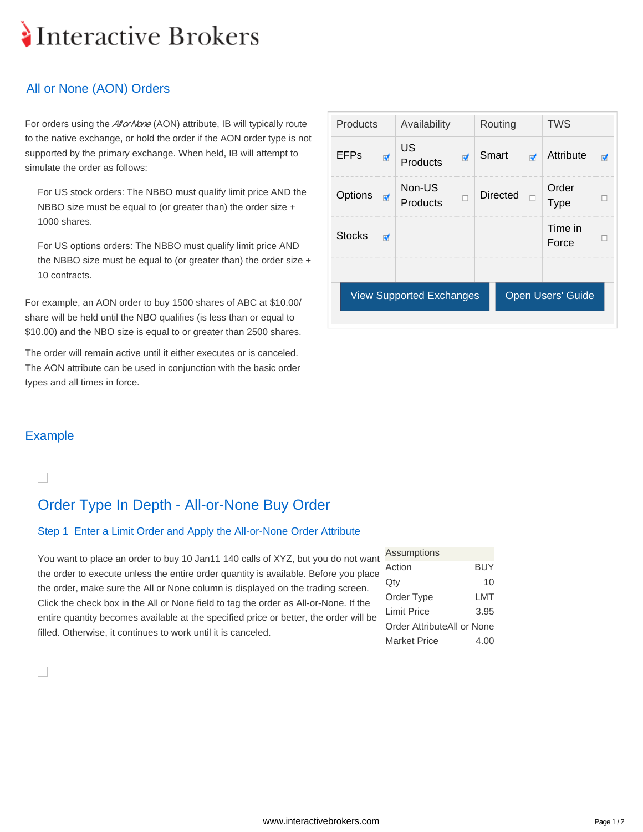# Interactive Brokers

## All or None (AON) Orders

For orders using the *AllorNone* (AON) attribute, IB will typically route to the native exchange, or hold the order if the AON order type is not supported by the primary exchange. When held, IB will attempt to simulate the order as follows:

For US stock orders: The NBBO must qualify limit price AND the NBBO size must be equal to (or greater than) the order size + 1000 shares.

For US options orders: The NBBO must qualify limit price AND the NBBO size must be equal to (or greater than) the order size + 10 contracts.

For example, an AON order to buy 1500 shares of ABC at \$10.00/ share will be held until the NBO qualifies (is less than or equal to \$10.00) and the NBO size is equal to or greater than 2500 shares.

The order will remain active until it either executes or is canceled. The AON attribute can be used in conjunction with the basic order types and all times in force.

| Products<br>Availability                             |                         |                       | Routing                 |                 | <b>TWS</b>           |                      |                         |
|------------------------------------------------------|-------------------------|-----------------------|-------------------------|-----------------|----------------------|----------------------|-------------------------|
| <b>EFPs</b>                                          | $\overline{\mathbf{v}}$ | <b>US</b><br>Products | $\overline{\mathbf{v}}$ | Smart           | $\overrightarrow{v}$ | Attribute            | $\overline{\mathbf{v}}$ |
| Options<br>ਾ                                         |                         | Non-US<br>Products    | □                       | <b>Directed</b> | $\Box$               | Order<br><b>Type</b> | □                       |
| <b>Stocks</b>                                        | $\overline{\mathbf{v}}$ |                       |                         |                 |                      | Time in<br>Force     | □                       |
|                                                      |                         |                       |                         |                 |                      |                      |                         |
| Open Users' Guide<br><b>View Supported Exchanges</b> |                         |                       |                         |                 |                      |                      |                         |

### Example

 $\Box$ 

П

# Order Type In Depth - All-or-None Buy Order

#### Step 1 Enter a Limit Order and Apply the All-or-None Order Attribute

You want to place an order to buy 10 Jan11 140 calls of XYZ, but you do not want the order to execute unless the entire order quantity is available. Before you place the order, make sure the All or None column is displayed on the trading screen. Click the check box in the All or None field to tag the order as All-or-None. If the entire quantity becomes available at the specified price or better, the order will be filled. Otherwise, it continues to work until it is canceled.

| <b>Assumptions</b>         |            |
|----------------------------|------------|
| Action                     | <b>BUY</b> |
| Qty                        | 10         |
| Order Type                 | LMT        |
| <b>Limit Price</b>         | 3.95       |
| Order AttributeAll or None |            |
| <b>Market Price</b>        | 4.00       |